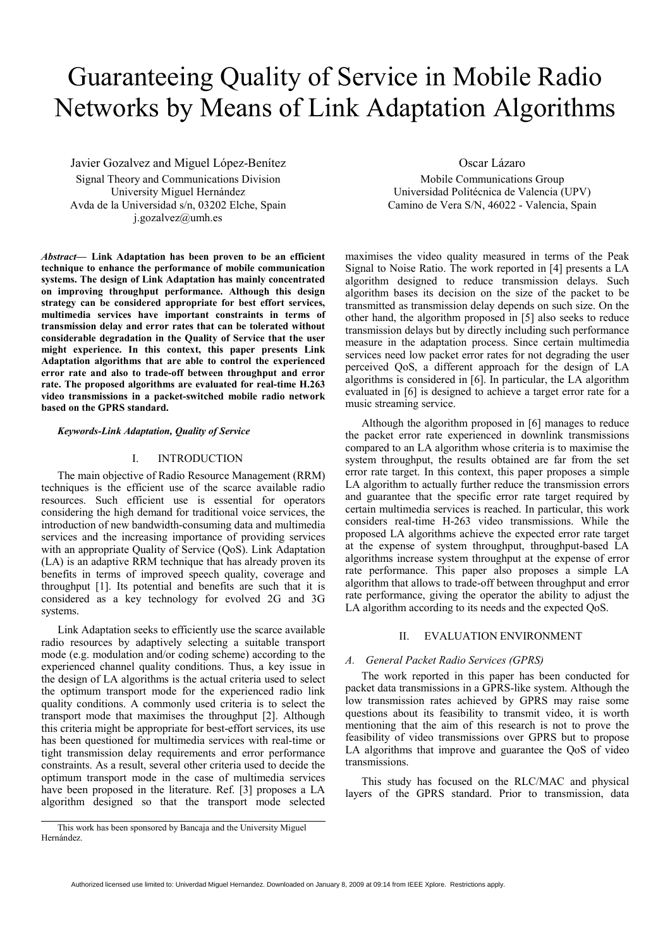# Guaranteeing Quality of Service in Mobile Radio Networks by Means of Link Adaptation Algorithms

Javier Gozalvez and Miguel López-Benítez

Signal Theory and Communications Division University Miguel Hernández Avda de la Universidad s/n, 03202 Elche, Spain j.gozalvez@umh.es

*Abstract***— Link Adaptation has been proven to be an efficient technique to enhance the performance of mobile communication systems. The design of Link Adaptation has mainly concentrated on improving throughput performance. Although this design strategy can be considered appropriate for best effort services, multimedia services have important constraints in terms of transmission delay and error rates that can be tolerated without considerable degradation in the Quality of Service that the user might experience. In this context, this paper presents Link Adaptation algorithms that are able to control the experienced error rate and also to trade-off between throughput and error rate. The proposed algorithms are evaluated for real-time H.263 video transmissions in a packet-switched mobile radio network based on the GPRS standard.** 

#### *Keywords-Link Adaptation, Quality of Service*

#### I. INTRODUCTION

The main objective of Radio Resource Management (RRM) techniques is the efficient use of the scarce available radio resources. Such efficient use is essential for operators considering the high demand for traditional voice services, the introduction of new bandwidth-consuming data and multimedia services and the increasing importance of providing services with an appropriate Quality of Service (QoS). Link Adaptation (LA) is an adaptive RRM technique that has already proven its benefits in terms of improved speech quality, coverage and throughput [1]. Its potential and benefits are such that it is considered as a key technology for evolved 2G and 3G systems.

Link Adaptation seeks to efficiently use the scarce available radio resources by adaptively selecting a suitable transport mode (e.g. modulation and/or coding scheme) according to the experienced channel quality conditions. Thus, a key issue in the design of LA algorithms is the actual criteria used to select the optimum transport mode for the experienced radio link quality conditions. A commonly used criteria is to select the transport mode that maximises the throughput [2]. Although this criteria might be appropriate for best-effort services, its use has been questioned for multimedia services with real-time or tight transmission delay requirements and error performance constraints. As a result, several other criteria used to decide the optimum transport mode in the case of multimedia services have been proposed in the literature. Ref. [3] proposes a LA algorithm designed so that the transport mode selected

Oscar Lázaro

Mobile Communications Group Universidad Politécnica de Valencia (UPV) Camino de Vera S/N, 46022 - Valencia, Spain

maximises the video quality measured in terms of the Peak Signal to Noise Ratio. The work reported in [4] presents a LA algorithm designed to reduce transmission delays. Such algorithm bases its decision on the size of the packet to be transmitted as transmission delay depends on such size. On the other hand, the algorithm proposed in [5] also seeks to reduce transmission delays but by directly including such performance measure in the adaptation process. Since certain multimedia services need low packet error rates for not degrading the user perceived QoS, a different approach for the design of LA algorithms is considered in [6]. In particular, the LA algorithm evaluated in [6] is designed to achieve a target error rate for a music streaming service.

Although the algorithm proposed in [6] manages to reduce the packet error rate experienced in downlink transmissions compared to an LA algorithm whose criteria is to maximise the system throughput, the results obtained are far from the set error rate target. In this context, this paper proposes a simple LA algorithm to actually further reduce the transmission errors and guarantee that the specific error rate target required by certain multimedia services is reached. In particular, this work considers real-time H-263 video transmissions. While the proposed LA algorithms achieve the expected error rate target at the expense of system throughput, throughput-based LA algorithms increase system throughput at the expense of error rate performance. This paper also proposes a simple LA algorithm that allows to trade-off between throughput and error rate performance, giving the operator the ability to adjust the LA algorithm according to its needs and the expected QoS.

# II. EVALUATION ENVIRONMENT

# *A. General Packet Radio Services (GPRS)*

The work reported in this paper has been conducted for packet data transmissions in a GPRS-like system. Although the low transmission rates achieved by GPRS may raise some questions about its feasibility to transmit video, it is worth mentioning that the aim of this research is not to prove the feasibility of video transmissions over GPRS but to propose LA algorithms that improve and guarantee the QoS of video transmissions.

This study has focused on the RLC/MAC and physical layers of the GPRS standard. Prior to transmission, data

Authorized licensed use limited to: Univerdad Miguel Hernandez. Downloaded on January 8, 2009 at 09:14 from IEEE Xplore. Restrictions apply.

This work has been sponsored by Bancaja and the University Miguel Hernández.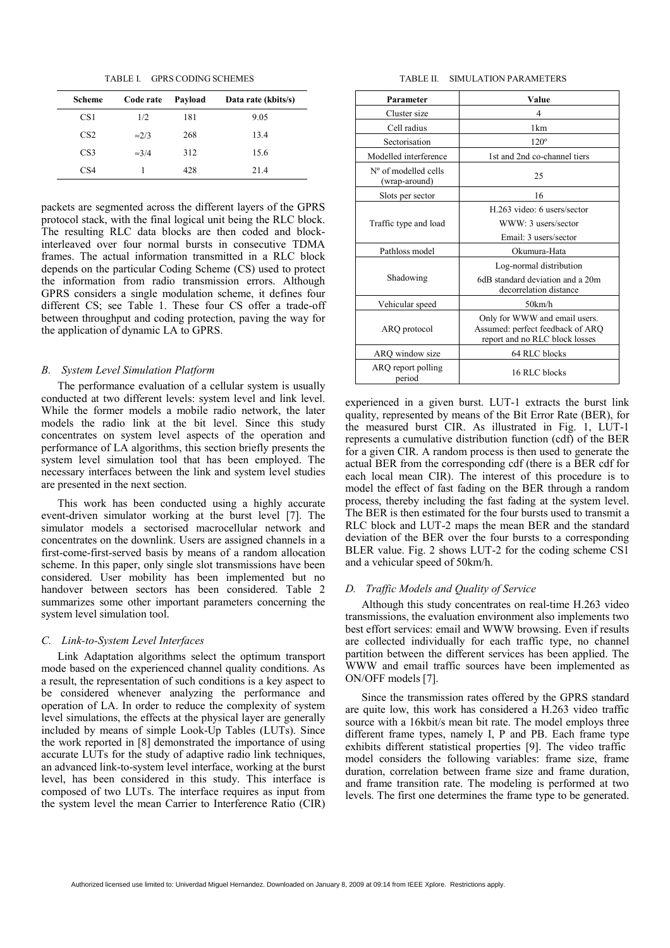TABLE I. GPRS CODING SCHEMES

| Scheme          | Code rate     | Payload | Data rate (kbits/s) |
|-----------------|---------------|---------|---------------------|
| CS <sub>1</sub> | 1/2           | 181     | 9.05                |
| CS <sub>2</sub> | $\approx$ 2/3 | 268     | 13.4                |
| CS <sub>3</sub> | $\approx 3/4$ | 312     | 15.6                |
| CS4             |               | 428     | 21.4                |

packets are segmented across the different layers of the GPRS protocol stack, with the final logical unit being the RLC block. The resulting RLC data blocks are then coded and blockinterleaved over four normal bursts in consecutive TDMA frames. The actual information transmitted in a RLC block depends on the particular Coding Scheme (CS) used to protect the information from radio transmission errors. Although GPRS considers a single modulation scheme, it defines four different CS; see Table 1. These four CS offer a trade-off between throughput and coding protection, paving the way for the application of dynamic LA to GPRS.

#### *B. System Level Simulation Platform*

The performance evaluation of a cellular system is usually conducted at two different levels: system level and link level. While the former models a mobile radio network, the later models the radio link at the bit level. Since this study concentrates on system level aspects of the operation and performance of LA algorithms, this section briefly presents the system level simulation tool that has been employed. The necessary interfaces between the link and system level studies are presented in the next section.

This work has been conducted using a highly accurate event-driven simulator working at the burst level [7]. The simulator models a sectorised macrocellular network and concentrates on the downlink. Users are assigned channels in a first-come-first-served basis by means of a random allocation scheme. In this paper, only single slot transmissions have been considered. User mobility has been implemented but no handover between sectors has been considered. Table 2 summarizes some other important parameters concerning the system level simulation tool.

#### *C. Link-to-System Level Interfaces*

Link Adaptation algorithms select the optimum transport mode based on the experienced channel quality conditions. As a result, the representation of such conditions is a key aspect to be considered whenever analyzing the performance and operation of LA. In order to reduce the complexity of system level simulations, the effects at the physical layer are generally included by means of simple Look-Up Tables (LUTs). Since the work reported in [8] demonstrated the importance of using accurate LUTs for the study of adaptive radio link techniques, an advanced link-to-system level interface, working at the burst level, has been considered in this study. This interface is composed of two LUTs. The interface requires as input from the system level the mean Carrier to Interference Ratio (CIR)

TABLE II. SIMULATION PARAMETERS

| Parameter                                      | Value                                                                                               |  |  |
|------------------------------------------------|-----------------------------------------------------------------------------------------------------|--|--|
| Cluster size                                   | 4                                                                                                   |  |  |
| Cell radius                                    | 1 <sub>km</sub>                                                                                     |  |  |
| Sectorisation                                  | $120^\circ$                                                                                         |  |  |
| Modelled interference                          | 1st and 2nd co-channel tiers                                                                        |  |  |
| $N^{\circ}$ of modelled cells<br>(wrap-around) | 25                                                                                                  |  |  |
| Slots per sector                               | 16                                                                                                  |  |  |
|                                                | H.263 video: 6 users/sector                                                                         |  |  |
| Traffic type and load                          | WWW: 3 users/sector                                                                                 |  |  |
|                                                | Email: 3 users/sector                                                                               |  |  |
| Pathloss model                                 | Okumura-Hata                                                                                        |  |  |
|                                                | Log-normal distribution                                                                             |  |  |
| Shadowing                                      | 6dB standard deviation and a 20m<br>decorrelation distance                                          |  |  |
| Vehicular speed                                | 50km/h                                                                                              |  |  |
| ARQ protocol                                   | Only for WWW and email users.<br>Assumed: perfect feedback of ARQ<br>report and no RLC block losses |  |  |
| ARQ window size                                | 64 RLC blocks                                                                                       |  |  |
| ARQ report polling<br>period                   | 16 RLC blocks                                                                                       |  |  |

experienced in a given burst. LUT-1 extracts the burst link quality, represented by means of the Bit Error Rate (BER), for the measured burst CIR. As illustrated in Fig. 1, LUT-1 represents a cumulative distribution function (cdf) of the BER for a given CIR. A random process is then used to generate the actual BER from the corresponding cdf (there is a BER cdf for each local mean CIR). The interest of this procedure is to model the effect of fast fading on the BER through a random process, thereby including the fast fading at the system level. The BER is then estimated for the four bursts used to transmit a RLC block and LUT-2 maps the mean BER and the standard deviation of the BER over the four bursts to a corresponding BLER value. Fig. 2 shows LUT-2 for the coding scheme CS1 and a vehicular speed of 50km/h.

#### *D. Traffic Models and Quality of Service*

Although this study concentrates on real-time H.263 video transmissions, the evaluation environment also implements two best effort services: email and WWW browsing. Even if results are collected individually for each traffic type, no channel partition between the different services has been applied. The WWW and email traffic sources have been implemented as ON/OFF models [7].

Since the transmission rates offered by the GPRS standard are quite low, this work has considered a H.263 video traffic source with a 16kbit/s mean bit rate. The model employs three different frame types, namely I, P and PB. Each frame type exhibits different statistical properties [9]. The video traffic model considers the following variables: frame size, frame duration, correlation between frame size and frame duration, and frame transition rate. The modeling is performed at two levels. The first one determines the frame type to be generated.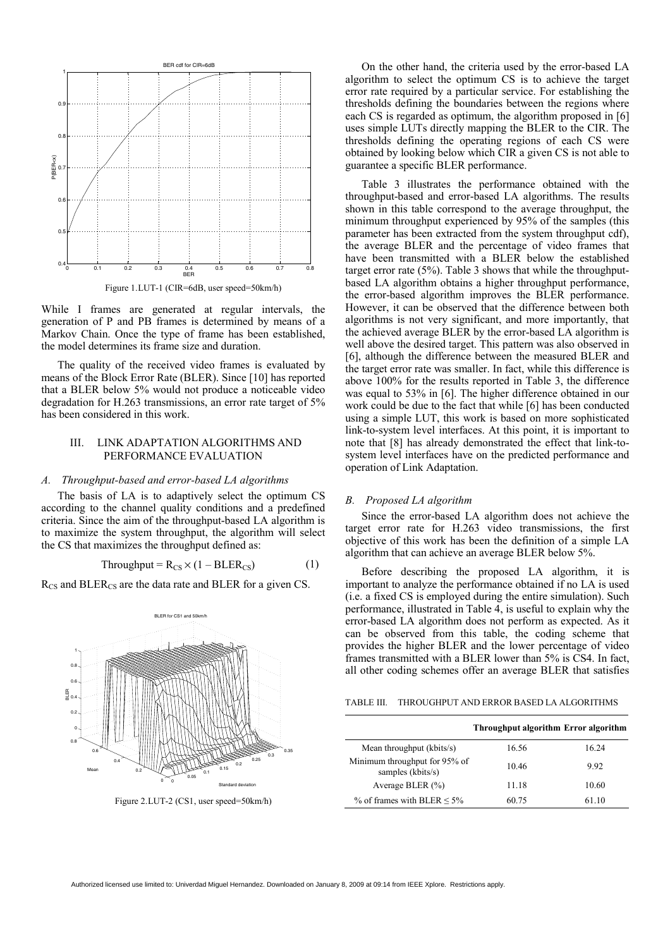

While I frames are generated at regular intervals, the generation of P and PB frames is determined by means of a Markov Chain. Once the type of frame has been established, the model determines its frame size and duration.

The quality of the received video frames is evaluated by means of the Block Error Rate (BLER). Since [10] has reported that a BLER below 5% would not produce a noticeable video degradation for H.263 transmissions, an error rate target of 5% has been considered in this work.

### III. LINK ADAPTATION ALGORITHMS AND PERFORMANCE EVALUATION

### *A. Throughput-based and error-based LA algorithms*

The basis of LA is to adaptively select the optimum CS according to the channel quality conditions and a predefined criteria. Since the aim of the throughput-based LA algorithm is to maximize the system throughput, the algorithm will select the CS that maximizes the throughput defined as:

$$
Throughout = R_{CS} \times (1 - BLER_{CS})
$$
 (1)

 $R_{CS}$  and BLER<sub>CS</sub> are the data rate and BLER for a given CS.



Figure 2.LUT-2 (CS1, user speed=50km/h)

On the other hand, the criteria used by the error-based LA algorithm to select the optimum CS is to achieve the target error rate required by a particular service. For establishing the thresholds defining the boundaries between the regions where each CS is regarded as optimum, the algorithm proposed in [6] uses simple LUTs directly mapping the BLER to the CIR. The thresholds defining the operating regions of each CS were obtained by looking below which CIR a given CS is not able to guarantee a specific BLER performance.

Table 3 illustrates the performance obtained with the throughput-based and error-based LA algorithms. The results shown in this table correspond to the average throughput, the minimum throughput experienced by 95% of the samples (this parameter has been extracted from the system throughput cdf), the average BLER and the percentage of video frames that have been transmitted with a BLER below the established target error rate (5%). Table 3 shows that while the throughputbased LA algorithm obtains a higher throughput performance, the error-based algorithm improves the BLER performance. However, it can be observed that the difference between both algorithms is not very significant, and more importantly, that the achieved average BLER by the error-based LA algorithm is well above the desired target. This pattern was also observed in [6], although the difference between the measured BLER and the target error rate was smaller. In fact, while this difference is above 100% for the results reported in Table 3, the difference was equal to 53% in [6]. The higher difference obtained in our work could be due to the fact that while [6] has been conducted using a simple LUT, this work is based on more sophisticated link-to-system level interfaces. At this point, it is important to note that [8] has already demonstrated the effect that link-tosystem level interfaces have on the predicted performance and operation of Link Adaptation.

#### *B. Proposed LA algorithm*

Since the error-based LA algorithm does not achieve the target error rate for H.263 video transmissions, the first objective of this work has been the definition of a simple LA algorithm that can achieve an average BLER below 5%.

Before describing the proposed LA algorithm, it is important to analyze the performance obtained if no LA is used (i.e. a fixed CS is employed during the entire simulation). Such performance, illustrated in Table 4, is useful to explain why the error-based LA algorithm does not perform as expected. As it can be observed from this table, the coding scheme that provides the higher BLER and the lower percentage of video frames transmitted with a BLER lower than 5% is CS4. In fact, all other coding schemes offer an average BLER that satisfies

|                                                    | Throughput algorithm Error algorithm |       |
|----------------------------------------------------|--------------------------------------|-------|
| Mean throughput (kbits/s)                          | 16.56                                | 16.24 |
| Minimum throughput for 95% of<br>samples (kbits/s) | 10.46                                | 992   |
| Average BLER $(\% )$                               | 11.18                                | 10.60 |
| % of frames with BLER $\leq 5\%$                   | 60 75                                | 61 10 |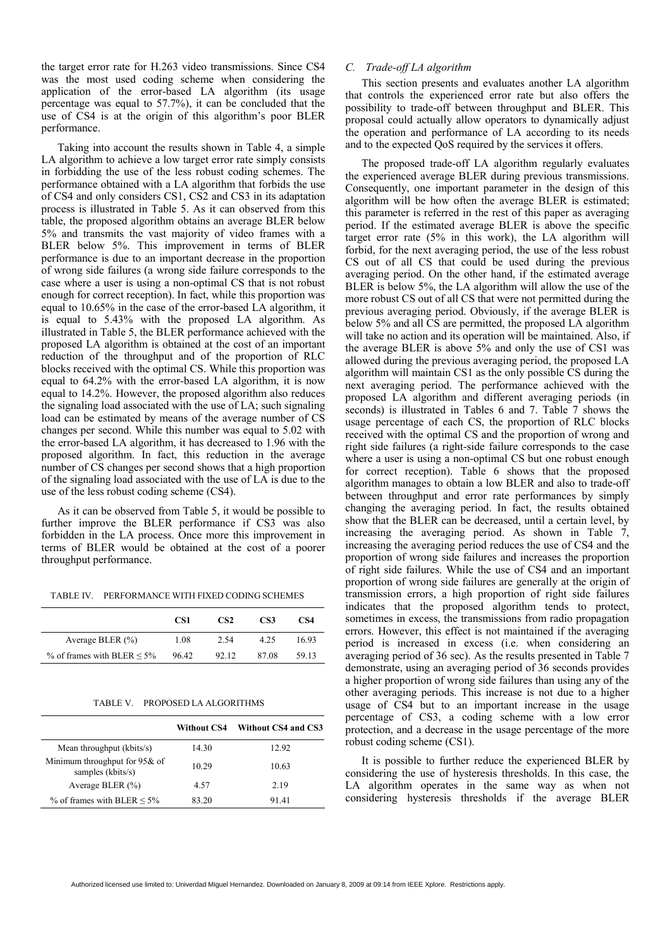the target error rate for H.263 video transmissions. Since CS4 was the most used coding scheme when considering the application of the error-based LA algorithm (its usage percentage was equal to 57.7%), it can be concluded that the use of CS4 is at the origin of this algorithm's poor BLER performance.

Taking into account the results shown in Table 4, a simple LA algorithm to achieve a low target error rate simply consists in forbidding the use of the less robust coding schemes. The performance obtained with a LA algorithm that forbids the use of CS4 and only considers CS1, CS2 and CS3 in its adaptation process is illustrated in Table 5. As it can observed from this table, the proposed algorithm obtains an average BLER below 5% and transmits the vast majority of video frames with a BLER below 5%. This improvement in terms of BLER performance is due to an important decrease in the proportion of wrong side failures (a wrong side failure corresponds to the case where a user is using a non-optimal CS that is not robust enough for correct reception). In fact, while this proportion was equal to 10.65% in the case of the error-based LA algorithm, it is equal to 5.43% with the proposed LA algorithm. As illustrated in Table 5, the BLER performance achieved with the proposed LA algorithm is obtained at the cost of an important reduction of the throughput and of the proportion of RLC blocks received with the optimal CS. While this proportion was equal to 64.2% with the error-based LA algorithm, it is now equal to 14.2%. However, the proposed algorithm also reduces the signaling load associated with the use of LA; such signaling load can be estimated by means of the average number of CS changes per second. While this number was equal to 5.02 with the error-based LA algorithm, it has decreased to 1.96 with the proposed algorithm. In fact, this reduction in the average number of CS changes per second shows that a high proportion of the signaling load associated with the use of LA is due to the use of the less robust coding scheme (CS4).

As it can be observed from Table 5, it would be possible to further improve the BLER performance if CS3 was also forbidden in the LA process. Once more this improvement in terms of BLER would be obtained at the cost of a poorer throughput performance.

TABLE IV. PERFORMANCE WITH FIXED CODING SCHEMES

|                                 | CS1   | CS <sub>2</sub> | CS3   | CS4   |
|---------------------------------|-------|-----------------|-------|-------|
| Average BLER $(\% )$            | 1.08  | 2.54            | 425   | 16 93 |
| % of frames with BLER $\leq$ 5% | 96.42 | 92.12           | 87.08 | 59.13 |

| TABLE V. | PROPOSED LA ALGORITHMS |
|----------|------------------------|
|----------|------------------------|

|                                                    | Without CS4 | <b>Without CS4 and CS3</b> |
|----------------------------------------------------|-------------|----------------------------|
| Mean throughput (kbits/s)                          | 14.30       | 12.92                      |
| Minimum throughput for 95& of<br>samples (kbits/s) | 10.29       | 10.63                      |
| Average BLER $(\% )$                               | 4.57        | 2.19                       |
| % of frames with BLER $\leq 5\%$                   | 83.20       | 9141                       |

#### *C. Trade-off LA algorithm*

This section presents and evaluates another LA algorithm that controls the experienced error rate but also offers the possibility to trade-off between throughput and BLER. This proposal could actually allow operators to dynamically adjust the operation and performance of LA according to its needs and to the expected QoS required by the services it offers.

The proposed trade-off LA algorithm regularly evaluates the experienced average BLER during previous transmissions. Consequently, one important parameter in the design of this algorithm will be how often the average BLER is estimated; this parameter is referred in the rest of this paper as averaging period. If the estimated average BLER is above the specific target error rate (5% in this work), the LA algorithm will forbid, for the next averaging period, the use of the less robust CS out of all CS that could be used during the previous averaging period. On the other hand, if the estimated average BLER is below 5%, the LA algorithm will allow the use of the more robust CS out of all CS that were not permitted during the previous averaging period. Obviously, if the average BLER is below 5% and all CS are permitted, the proposed LA algorithm will take no action and its operation will be maintained. Also, if the average BLER is above 5% and only the use of CS1 was allowed during the previous averaging period, the proposed LA algorithm will maintain CS1 as the only possible CS during the next averaging period. The performance achieved with the proposed LA algorithm and different averaging periods (in seconds) is illustrated in Tables 6 and 7. Table 7 shows the usage percentage of each CS, the proportion of RLC blocks received with the optimal CS and the proportion of wrong and right side failures (a right-side failure corresponds to the case where a user is using a non-optimal CS but one robust enough for correct reception). Table 6 shows that the proposed algorithm manages to obtain a low BLER and also to trade-off between throughput and error rate performances by simply changing the averaging period. In fact, the results obtained show that the BLER can be decreased, until a certain level, by increasing the averaging period. As shown in Table 7, increasing the averaging period reduces the use of CS4 and the proportion of wrong side failures and increases the proportion of right side failures. While the use of CS4 and an important proportion of wrong side failures are generally at the origin of transmission errors, a high proportion of right side failures indicates that the proposed algorithm tends to protect, sometimes in excess, the transmissions from radio propagation errors. However, this effect is not maintained if the averaging period is increased in excess (i.e. when considering an averaging period of 36 sec). As the results presented in Table 7 demonstrate, using an averaging period of 36 seconds provides a higher proportion of wrong side failures than using any of the other averaging periods. This increase is not due to a higher usage of CS4 but to an important increase in the usage percentage of CS3, a coding scheme with a low error protection, and a decrease in the usage percentage of the more robust coding scheme (CS1).

It is possible to further reduce the experienced BLER by considering the use of hysteresis thresholds. In this case, the LA algorithm operates in the same way as when not considering hysteresis thresholds if the average BLER